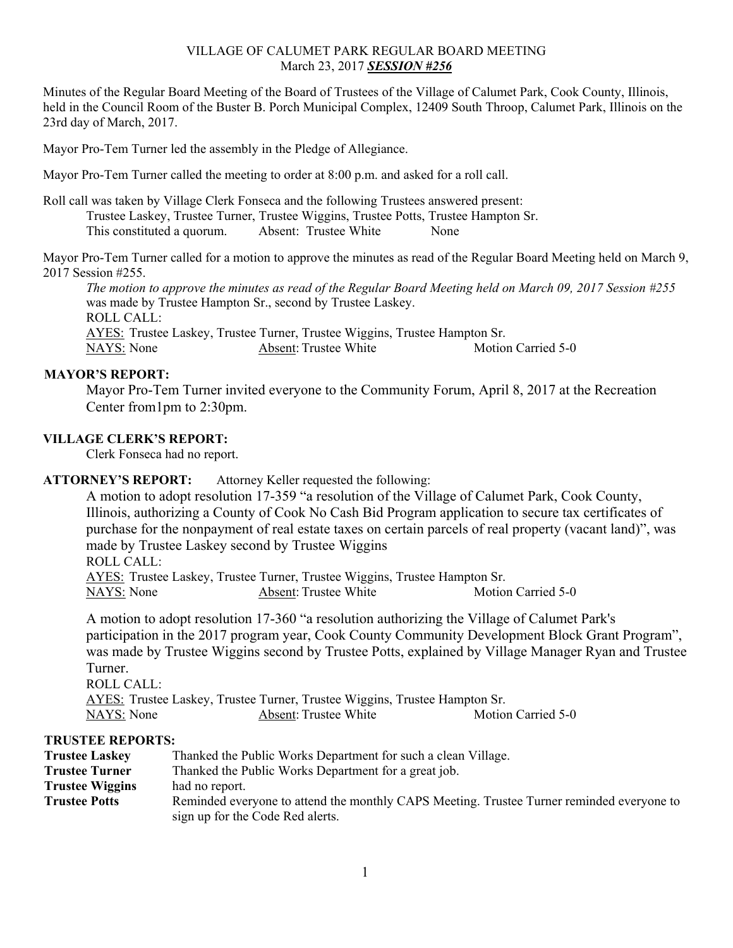# VILLAGE OF CALUMET PARK REGULAR BOARD MEETING March 23, 2017 *SESSION #256*

Minutes of the Regular Board Meeting of the Board of Trustees of the Village of Calumet Park, Cook County, Illinois, held in the Council Room of the Buster B. Porch Municipal Complex, 12409 South Throop, Calumet Park, Illinois on the 23rd day of March, 2017.

Mayor Pro-Tem Turner led the assembly in the Pledge of Allegiance.

Mayor Pro-Tem Turner called the meeting to order at 8:00 p.m. and asked for a roll call.

Roll call was taken by Village Clerk Fonseca and the following Trustees answered present: Trustee Laskey, Trustee Turner, Trustee Wiggins, Trustee Potts, Trustee Hampton Sr. This constituted a quorum. Absent: Trustee White None

Mayor Pro-Tem Turner called for a motion to approve the minutes as read of the Regular Board Meeting held on March 9, 2017 Session #255.

*The motion to approve the minutes as read of the Regular Board Meeting held on March 09, 2017 Session #255* was made by Trustee Hampton Sr., second by Trustee Laskey. ROLL CALL: AYES: Trustee Laskey, Trustee Turner, Trustee Wiggins, Trustee Hampton Sr. NAYS: None Absent: Trustee White Motion Carried 5-0

# **MAYOR'S REPORT:**

Mayor Pro-Tem Turner invited everyone to the Community Forum, April 8, 2017 at the Recreation Center from1pm to 2:30pm.

#### **VILLAGE CLERK'S REPORT:**

Clerk Fonseca had no report.

# **ATTORNEY'S REPORT:** Attorney Keller requested the following:

A motion to adopt resolution 17-359 "a resolution of the Village of Calumet Park, Cook County, Illinois, authorizing a County of Cook No Cash Bid Program application to secure tax certificates of purchase for the nonpayment of real estate taxes on certain parcels of real property (vacant land)", was made by Trustee Laskey second by Trustee Wiggins

ROLL CALL: AYES: Trustee Laskey, Trustee Turner, Trustee Wiggins, Trustee Hampton Sr. NAYS: None Absent: Trustee White Motion Carried 5-0

A motion to adopt resolution 17-360 "a resolution authorizing the Village of Calumet Park's participation in the 2017 program year, Cook County Community Development Block Grant Program", was made by Trustee Wiggins second by Trustee Potts, explained by Village Manager Ryan and Trustee Turner. ROLL CALL:

 AYES: Trustee Laskey, Trustee Turner, Trustee Wiggins, Trustee Hampton Sr. NAYS: None Absent: Trustee White Motion Carried 5-0

#### **TRUSTEE REPORTS:**

| <b>Trustee Laskey</b>  | Thanked the Public Works Department for such a clean Village.                                                                 |
|------------------------|-------------------------------------------------------------------------------------------------------------------------------|
| <b>Trustee Turner</b>  | Thanked the Public Works Department for a great job.                                                                          |
| <b>Trustee Wiggins</b> | had no report.                                                                                                                |
| <b>Trustee Potts</b>   | Reminded everyone to attend the monthly CAPS Meeting. Trustee Turner reminded everyone to<br>sign up for the Code Red alerts. |